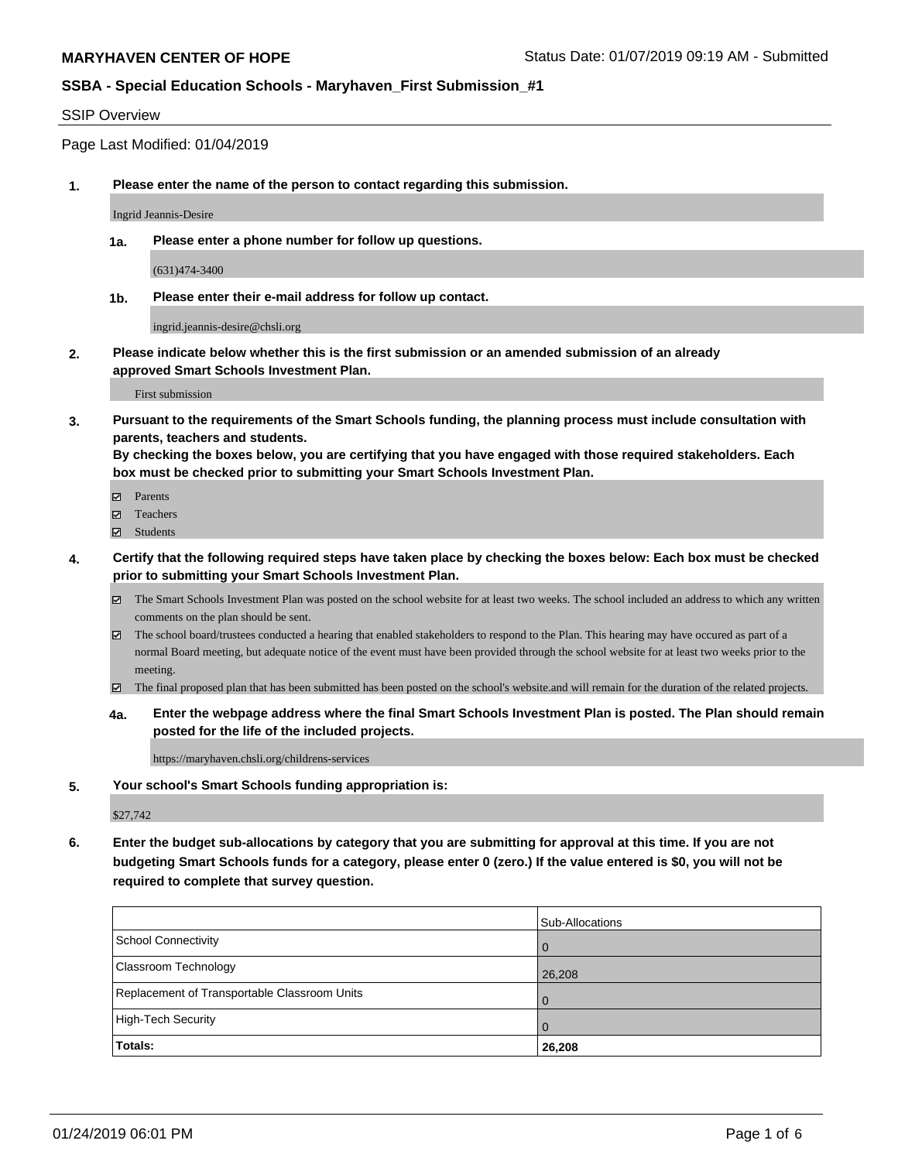#### SSIP Overview

Page Last Modified: 01/04/2019

**1. Please enter the name of the person to contact regarding this submission.**

Ingrid Jeannis-Desire

**1a. Please enter a phone number for follow up questions.**

(631)474-3400

**1b. Please enter their e-mail address for follow up contact.**

ingrid.jeannis-desire@chsli.org

**2. Please indicate below whether this is the first submission or an amended submission of an already approved Smart Schools Investment Plan.**

First submission

**3. Pursuant to the requirements of the Smart Schools funding, the planning process must include consultation with parents, teachers and students.**

**By checking the boxes below, you are certifying that you have engaged with those required stakeholders. Each box must be checked prior to submitting your Smart Schools Investment Plan.**

- $\blacksquare$  Parents
- Teachers
- Students
- **4. Certify that the following required steps have taken place by checking the boxes below: Each box must be checked prior to submitting your Smart Schools Investment Plan.**
	- $\boxtimes$  The Smart Schools Investment Plan was posted on the school website for at least two weeks. The school included an address to which any written comments on the plan should be sent.
	- $\boxtimes$  The school board/trustees conducted a hearing that enabled stakeholders to respond to the Plan. This hearing may have occured as part of a normal Board meeting, but adequate notice of the event must have been provided through the school website for at least two weeks prior to the meeting.
	- The final proposed plan that has been submitted has been posted on the school's website.and will remain for the duration of the related projects.
	- **4a. Enter the webpage address where the final Smart Schools Investment Plan is posted. The Plan should remain posted for the life of the included projects.**

https://maryhaven.chsli.org/childrens-services

**5. Your school's Smart Schools funding appropriation is:**

\$27,742

**6. Enter the budget sub-allocations by category that you are submitting for approval at this time. If you are not budgeting Smart Schools funds for a category, please enter 0 (zero.) If the value entered is \$0, you will not be required to complete that survey question.**

|                                              | Sub-Allocations |
|----------------------------------------------|-----------------|
| School Connectivity                          |                 |
| <b>Classroom Technology</b>                  | 26,208          |
| Replacement of Transportable Classroom Units |                 |
| High-Tech Security                           |                 |
| Totals:                                      | 26,208          |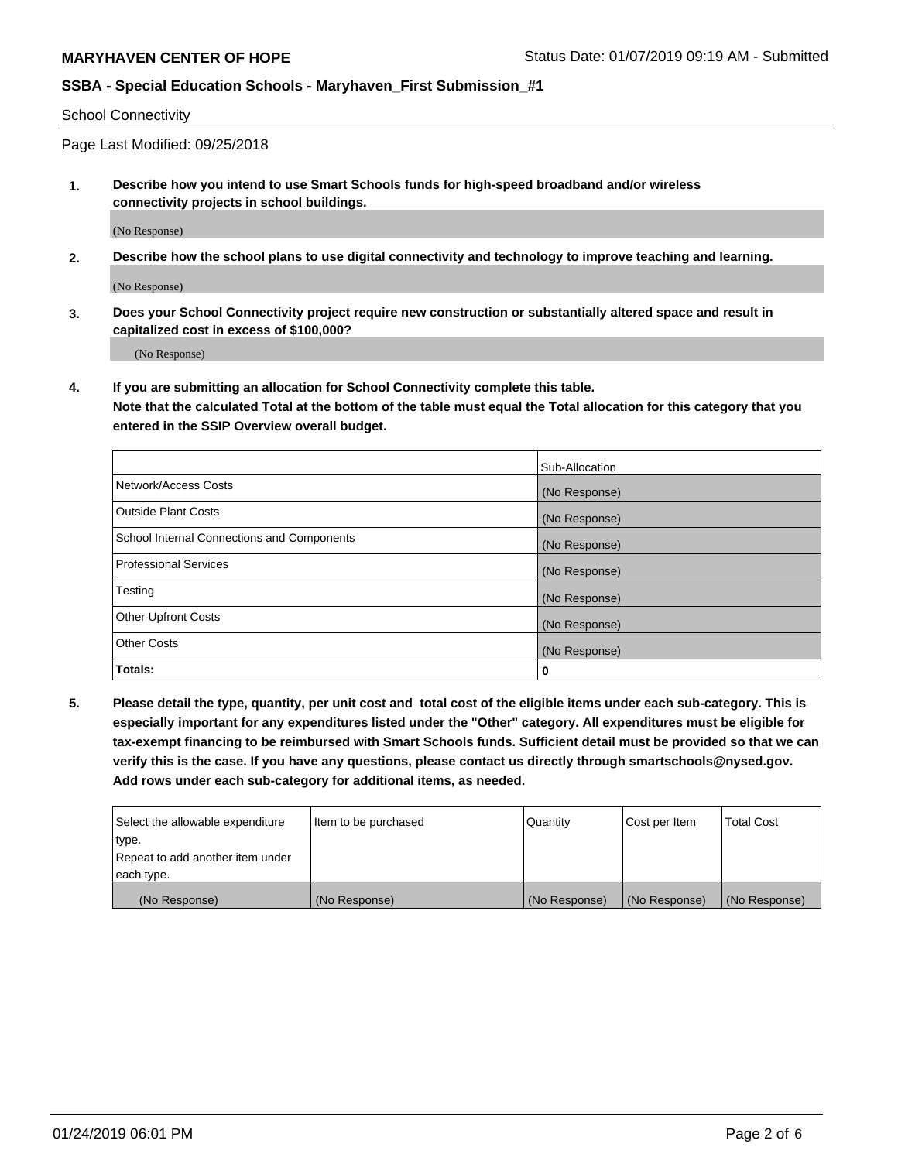School Connectivity

Page Last Modified: 09/25/2018

**1. Describe how you intend to use Smart Schools funds for high-speed broadband and/or wireless connectivity projects in school buildings.**

(No Response)

**2. Describe how the school plans to use digital connectivity and technology to improve teaching and learning.**

(No Response)

**3. Does your School Connectivity project require new construction or substantially altered space and result in capitalized cost in excess of \$100,000?**

(No Response)

**4. If you are submitting an allocation for School Connectivity complete this table.**

**Note that the calculated Total at the bottom of the table must equal the Total allocation for this category that you entered in the SSIP Overview overall budget.** 

|                                            | Sub-Allocation |
|--------------------------------------------|----------------|
| Network/Access Costs                       | (No Response)  |
| <b>Outside Plant Costs</b>                 | (No Response)  |
| School Internal Connections and Components | (No Response)  |
| <b>Professional Services</b>               | (No Response)  |
| Testing                                    | (No Response)  |
| <b>Other Upfront Costs</b>                 | (No Response)  |
| <b>Other Costs</b>                         | (No Response)  |
| Totals:                                    | 0              |

**5. Please detail the type, quantity, per unit cost and total cost of the eligible items under each sub-category. This is especially important for any expenditures listed under the "Other" category. All expenditures must be eligible for tax-exempt financing to be reimbursed with Smart Schools funds. Sufficient detail must be provided so that we can verify this is the case. If you have any questions, please contact us directly through smartschools@nysed.gov. Add rows under each sub-category for additional items, as needed.**

| Select the allowable expenditure | Item to be purchased | Quantity      | Cost per Item | Total Cost    |
|----------------------------------|----------------------|---------------|---------------|---------------|
| type.                            |                      |               |               |               |
| Repeat to add another item under |                      |               |               |               |
| each type.                       |                      |               |               |               |
| (No Response)                    | (No Response)        | (No Response) | (No Response) | (No Response) |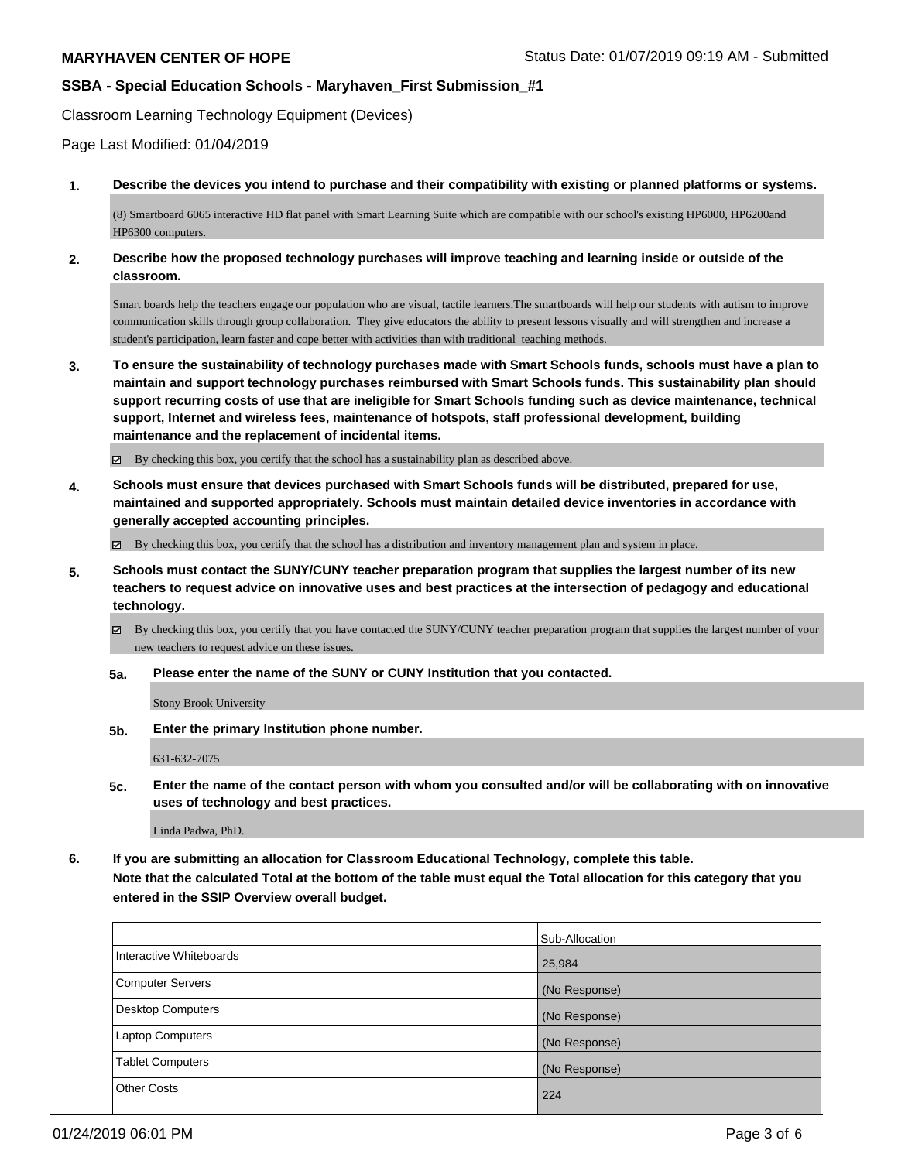Classroom Learning Technology Equipment (Devices)

Page Last Modified: 01/04/2019

**1. Describe the devices you intend to purchase and their compatibility with existing or planned platforms or systems.**

(8) Smartboard 6065 interactive HD flat panel with Smart Learning Suite which are compatible with our school's existing HP6000, HP6200and HP6300 computers.

**2. Describe how the proposed technology purchases will improve teaching and learning inside or outside of the classroom.**

Smart boards help the teachers engage our population who are visual, tactile learners.The smartboards will help our students with autism to improve communication skills through group collaboration. They give educators the ability to present lessons visually and will strengthen and increase a student's participation, learn faster and cope better with activities than with traditional teaching methods.

**3. To ensure the sustainability of technology purchases made with Smart Schools funds, schools must have a plan to maintain and support technology purchases reimbursed with Smart Schools funds. This sustainability plan should support recurring costs of use that are ineligible for Smart Schools funding such as device maintenance, technical support, Internet and wireless fees, maintenance of hotspots, staff professional development, building maintenance and the replacement of incidental items.**

By checking this box, you certify that the school has a sustainability plan as described above.

**4. Schools must ensure that devices purchased with Smart Schools funds will be distributed, prepared for use, maintained and supported appropriately. Schools must maintain detailed device inventories in accordance with generally accepted accounting principles.**

By checking this box, you certify that the school has a distribution and inventory management plan and system in place.

- **5. Schools must contact the SUNY/CUNY teacher preparation program that supplies the largest number of its new teachers to request advice on innovative uses and best practices at the intersection of pedagogy and educational technology.**
	- $\boxtimes$  By checking this box, you certify that you have contacted the SUNY/CUNY teacher preparation program that supplies the largest number of your new teachers to request advice on these issues.
	- **5a. Please enter the name of the SUNY or CUNY Institution that you contacted.**

Stony Brook University

**5b. Enter the primary Institution phone number.**

631-632-7075

**5c. Enter the name of the contact person with whom you consulted and/or will be collaborating with on innovative uses of technology and best practices.**

Linda Padwa, PhD.

**6. If you are submitting an allocation for Classroom Educational Technology, complete this table. Note that the calculated Total at the bottom of the table must equal the Total allocation for this category that you entered in the SSIP Overview overall budget.**

|                          | Sub-Allocation |
|--------------------------|----------------|
| Interactive Whiteboards  | 25,984         |
| <b>Computer Servers</b>  | (No Response)  |
| <b>Desktop Computers</b> | (No Response)  |
| <b>Laptop Computers</b>  | (No Response)  |
| <b>Tablet Computers</b>  | (No Response)  |
| <b>Other Costs</b>       | 224            |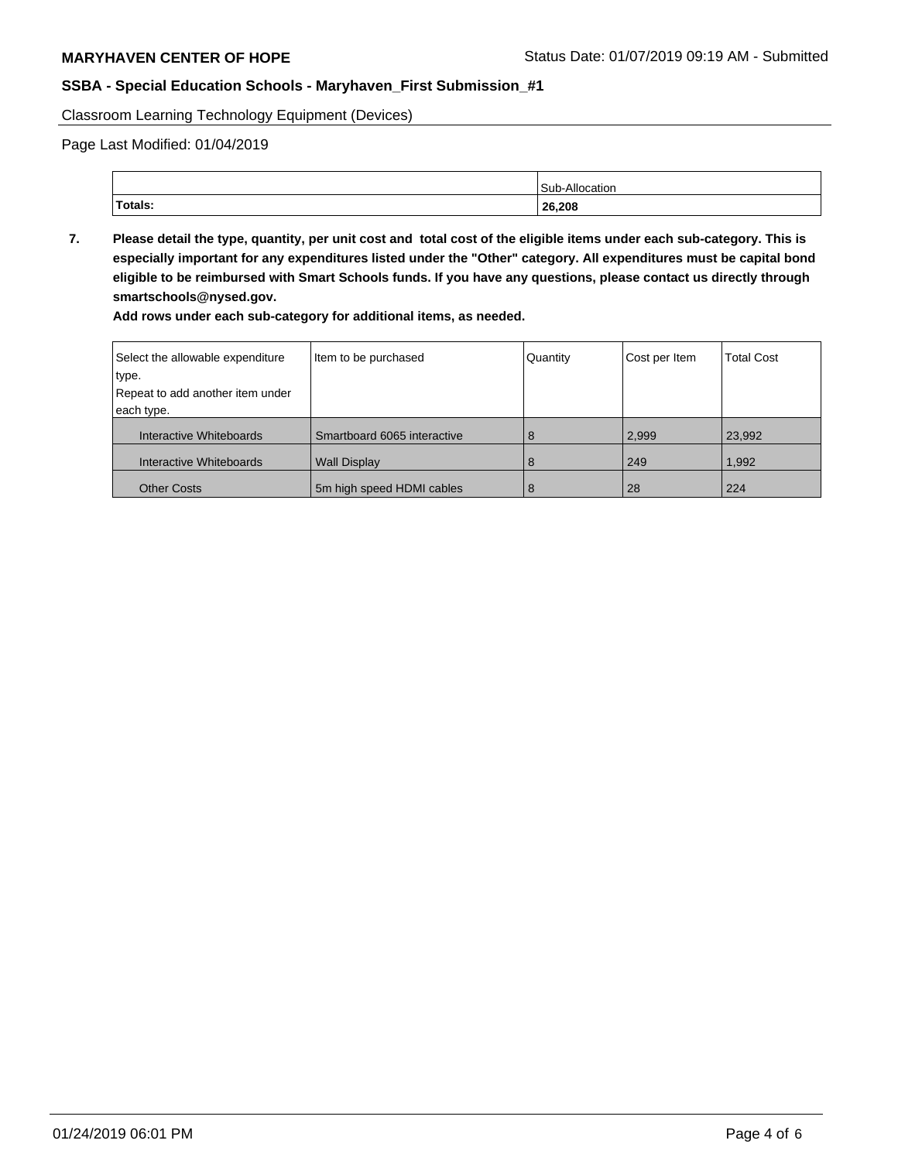Classroom Learning Technology Equipment (Devices)

Page Last Modified: 01/04/2019

|         | ıllo<br>$C_{11}$<br>ation |
|---------|---------------------------|
| Totals: | 26,208                    |

**7. Please detail the type, quantity, per unit cost and total cost of the eligible items under each sub-category. This is especially important for any expenditures listed under the "Other" category. All expenditures must be capital bond eligible to be reimbursed with Smart Schools funds. If you have any questions, please contact us directly through smartschools@nysed.gov.**

**Add rows under each sub-category for additional items, as needed.**

| Select the allowable expenditure | Item to be purchased        | Quantity | Cost per Item | <b>Total Cost</b> |
|----------------------------------|-----------------------------|----------|---------------|-------------------|
| type.                            |                             |          |               |                   |
| Repeat to add another item under |                             |          |               |                   |
| each type.                       |                             |          |               |                   |
| Interactive Whiteboards          | Smartboard 6065 interactive | 8        | 2,999         | 23,992            |
| Interactive Whiteboards          | <b>Wall Display</b>         | 8        | 249           | 1,992             |
| <b>Other Costs</b>               | 5m high speed HDMI cables   | 8        | 28            | 224               |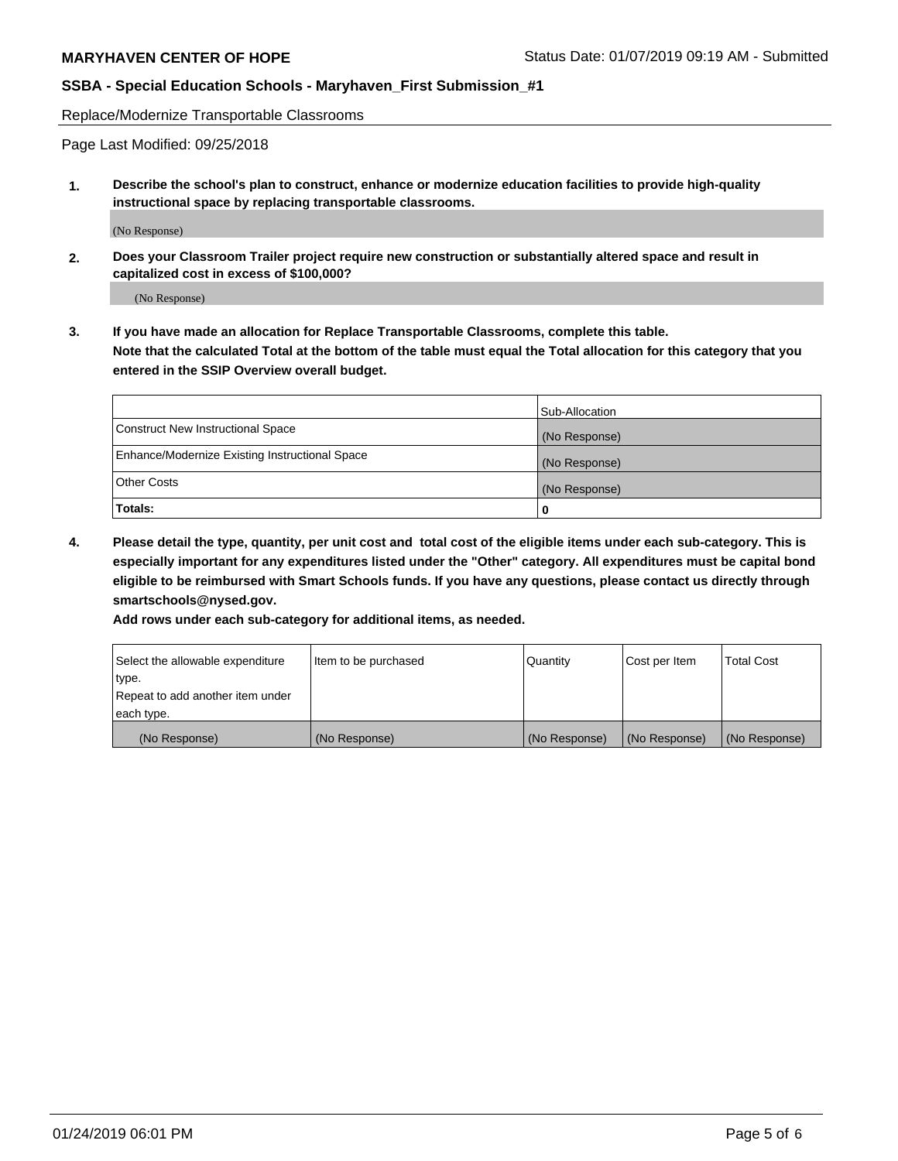Replace/Modernize Transportable Classrooms

Page Last Modified: 09/25/2018

**1. Describe the school's plan to construct, enhance or modernize education facilities to provide high-quality instructional space by replacing transportable classrooms.**

(No Response)

**2. Does your Classroom Trailer project require new construction or substantially altered space and result in capitalized cost in excess of \$100,000?**

(No Response)

**3. If you have made an allocation for Replace Transportable Classrooms, complete this table. Note that the calculated Total at the bottom of the table must equal the Total allocation for this category that you entered in the SSIP Overview overall budget.**

|                                                | Sub-Allocation |
|------------------------------------------------|----------------|
| Construct New Instructional Space              | (No Response)  |
| Enhance/Modernize Existing Instructional Space | (No Response)  |
| Other Costs                                    | (No Response)  |
| Totals:                                        | 0              |

**4. Please detail the type, quantity, per unit cost and total cost of the eligible items under each sub-category. This is especially important for any expenditures listed under the "Other" category. All expenditures must be capital bond eligible to be reimbursed with Smart Schools funds. If you have any questions, please contact us directly through smartschools@nysed.gov.**

**Add rows under each sub-category for additional items, as needed.**

| Select the allowable expenditure | Item to be purchased | Quantity      | Cost per Item | <b>Total Cost</b> |
|----------------------------------|----------------------|---------------|---------------|-------------------|
| type.                            |                      |               |               |                   |
| Repeat to add another item under |                      |               |               |                   |
| each type.                       |                      |               |               |                   |
| (No Response)                    | (No Response)        | (No Response) | (No Response) | (No Response)     |